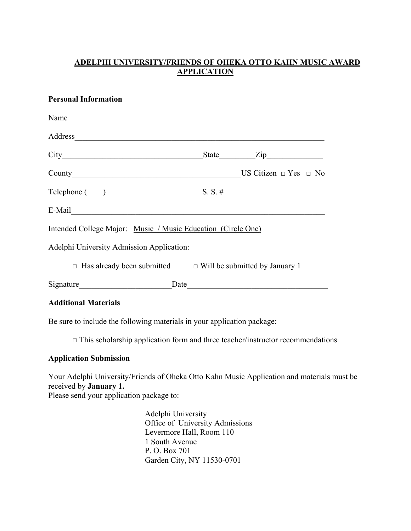### **ADELPHI UNIVERSITY/FRIENDS OF OHEKA OTTO KAHN MUSIC AWARD APPLICATION**

#### **Personal Information**

| Name                                                                                                                                                                                                                           |  |  |                                                                         |  |
|--------------------------------------------------------------------------------------------------------------------------------------------------------------------------------------------------------------------------------|--|--|-------------------------------------------------------------------------|--|
| Address                                                                                                                                                                                                                        |  |  |                                                                         |  |
|                                                                                                                                                                                                                                |  |  | State <u>Zip</u>                                                        |  |
|                                                                                                                                                                                                                                |  |  |                                                                         |  |
|                                                                                                                                                                                                                                |  |  | Telephone $\qquad)$ S. S. #                                             |  |
| E-Mail Communication of the contract of the contract of the contract of the contract of the contract of the contract of the contract of the contract of the contract of the contract of the contract of the contract of the co |  |  |                                                                         |  |
| Intended College Major: Music / Music Education (Circle One)                                                                                                                                                                   |  |  |                                                                         |  |
| Adelphi University Admission Application:                                                                                                                                                                                      |  |  |                                                                         |  |
|                                                                                                                                                                                                                                |  |  | $\Box$ Has already been submitted $\Box$ Will be submitted by January 1 |  |
| Signature Date Date                                                                                                                                                                                                            |  |  |                                                                         |  |
|                                                                                                                                                                                                                                |  |  |                                                                         |  |

**Additional Materials**

Be sure to include the following materials in your application package:

 $\Box$  This scholarship application form and three teacher/instructor recommendations

#### **Application Submission**

Your Adelphi University/Friends of Oheka Otto Kahn Music Application and materials must be received by **January 1.**

Please send your application package to:

Adelphi University Office of University Admissions Levermore Hall, Room 110 1 South Avenue P. O. Box 701 Garden City, NY 11530-0701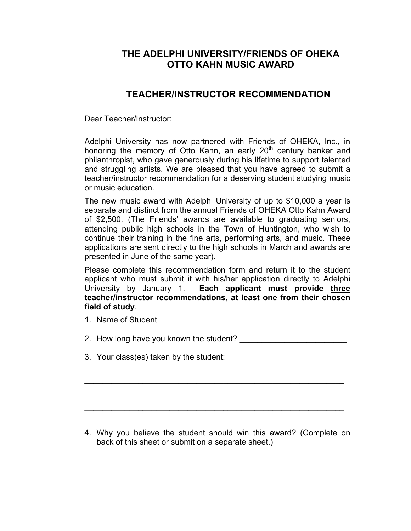# **THE ADELPHI UNIVERSITY/FRIENDS OF OHEKA OTTO KAHN MUSIC AWARD**

## **TEACHER/INSTRUCTOR RECOMMENDATION**

Dear Teacher/Instructor:

Adelphi University has now partnered with Friends of OHEKA, Inc., in honoring the memory of Otto Kahn, an early  $20<sup>th</sup>$  century banker and philanthropist, who gave generously during his lifetime to support talented and struggling artists. We are pleased that you have agreed to submit a teacher/instructor recommendation for a deserving student studying music or music education.

The new music award with Adelphi University of up to \$10,000 a year is separate and distinct from the annual Friends of OHEKA Otto Kahn Award of \$2,500. (The Friends' awards are available to graduating seniors, attending public high schools in the Town of Huntington, who wish to continue their training in the fine arts, performing arts, and music. These applications are sent directly to the high schools in March and awards are presented in June of the same year).

Please complete this recommendation form and return it to the student applicant who must submit it with his/her application directly to Adelphi University by January 1. **Each applicant must provide three teacher/instructor recommendations, at least one from their chosen field of study**.

1. Name of Student **Algebra**  $\overline{a}$ 

2. How long have you known the student? \_\_\_\_\_\_\_\_\_\_\_\_\_\_\_\_\_\_\_\_\_\_\_\_

 $\mathcal{L}_\text{max} = \mathcal{L}_\text{max} = \mathcal{L}_\text{max} = \mathcal{L}_\text{max} = \mathcal{L}_\text{max} = \mathcal{L}_\text{max} = \mathcal{L}_\text{max} = \mathcal{L}_\text{max} = \mathcal{L}_\text{max} = \mathcal{L}_\text{max} = \mathcal{L}_\text{max} = \mathcal{L}_\text{max} = \mathcal{L}_\text{max} = \mathcal{L}_\text{max} = \mathcal{L}_\text{max} = \mathcal{L}_\text{max} = \mathcal{L}_\text{max} = \mathcal{L}_\text{max} = \mathcal{$ 

 $\mathcal{L}_\text{max}$  , and the contract of the contract of the contract of the contract of the contract of the contract of the contract of the contract of the contract of the contract of the contract of the contract of the contr

3. Your class(es) taken by the student:

4. Why you believe the student should win this award? (Complete on back of this sheet or submit on a separate sheet.)